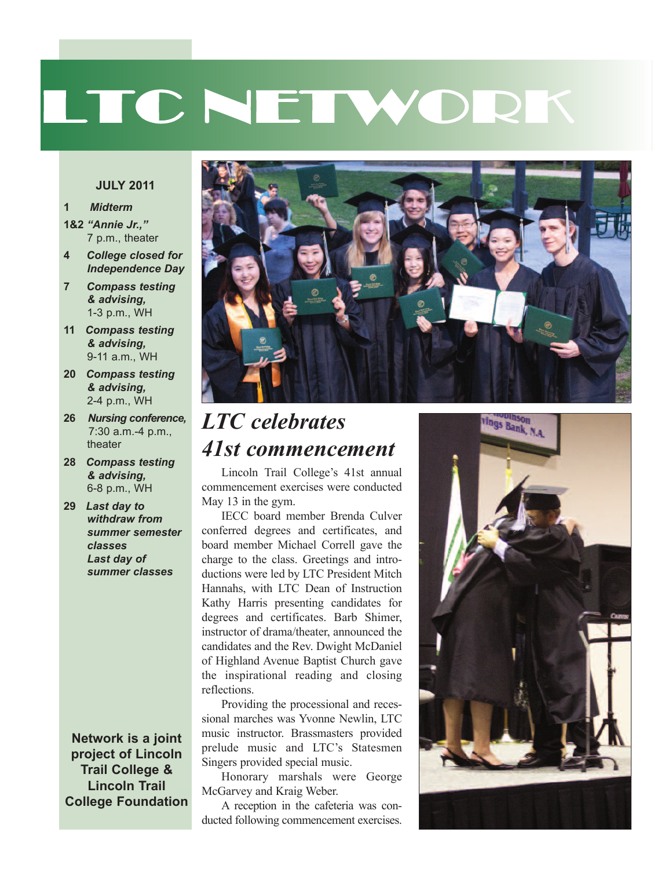# LTC NETWORK

#### **JULY 2011**

#### **1** *Midterm*

- **1&2** *"Annie Jr.,"* 7 p.m., theater
- **4** *College closed for Independence Day*
- **7** *Compass testing & advising,* 1-3 p.m., WH
- **11** *Compass testing & advising,* 9-11 a.m., WH
- **20** *Compass testing & advising,* 2-4 p.m., WH
- **26** *Nursing conference,* 7:30 a.m.-4 p.m., theater
- **28** *Compass testing & advising,* 6-8 p.m., WH
- **29** *Last day to withdraw from summer semester classes Last day of summer classes*

**Network is a joint project of Lincoln Trail College & Lincoln Trail College Foundation**



#### *LTC celebrates 41st commencement*

Lincoln Trail College's 41st annual commencement exercises were conducted May 13 in the gym.

IECC board member Brenda Culver conferred degrees and certificates, and board member Michael Correll gave the charge to the class. Greetings and introductions were led by LTC President Mitch Hannahs, with LTC Dean of Instruction Kathy Harris presenting candidates for degrees and certificates. Barb Shimer, instructor of drama/theater, announced the candidates and the Rev. Dwight McDaniel of Highland Avenue Baptist Church gave the inspirational reading and closing reflections.

Providing the processional and recessional marches was Yvonne Newlin, LTC music instructor. Brassmasters provided prelude music and LTC's Statesmen Singers provided special music.

Honorary marshals were George McGarvey and Kraig Weber.

A reception in the cafeteria was conducted following commencement exercises.

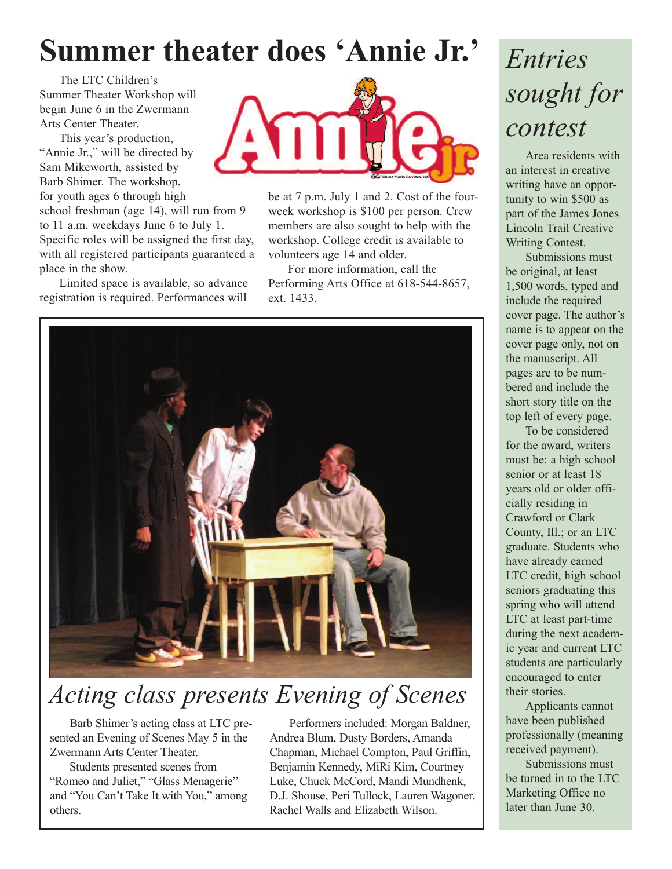### **Summer theater does 'Annie Jr. '**

The LTC Children's Summer Theater Workshop will begin June 6 in the Zwermann Arts Center Theater.

This year's production, "Annie Jr.," will be directed by Sam Mikeworth, assisted by Barb Shimer. The workshop, for youth ages 6 through high

school freshman (age 14), will run from 9 to 11 a.m. weekdays June 6 to July 1. Specific roles will be assigned the first day, with all registered participants guaranteed a place in the show.

Limited space is available, so advance registration is required. Performances will



be at 7 p.m. July 1 and 2. Cost of the fourweek workshop is \$100 per person. Crew members are also sought to help with the workshop. College credit is available to volunteers age 14 and older.

For more information, call the Performing Arts Office at 618-544-8657, ext. 1433.



#### *Acting class presents Evening of Scenes*

Barb Shimer's acting class at LTC presented an Evening of Scenes May 5 in the Zwermann Arts Center Theater.

Students presented scenes from "Romeo and Juliet," "Glass Menagerie" and "You Can't Take It with You," among others.

Performers included: Morgan Baldner, Andrea Blum, Dusty Borders, Amanda Chapman, Michael Compton, Paul Griffin, Benjamin Kennedy, MiRi Kim, Courtney Luke, Chuck McCord, Mandi Mundhenk, D.J. Shouse, Peri Tullock, Lauren Wagoner, Rachel Walls and Elizabeth Wilson.

### *Entries sought for contest*

Area residents with an interest in creative writing have an opportunity to win \$500 as part of the James Jones Lincoln Trail Creative Writing Contest.

Submissions must be original, at least 1,500 words, typed and include the required cover page. The author's name is to appear on the cover page only, not on the manuscript. All pages are to be numbered and include the short story title on the top left of every page.

To be considered for the award, writers must be: a high school senior or at least 18 years old or older officially residing in Crawford or Clark County, Ill.; or an LTC graduate. Students who have already earned LTC credit, high school seniors graduating this spring who will attend LTC at least part-time during the next academic year and current LTC students are particularly encouraged to enter their stories.

Applicants cannot have been published professionally (meaning received payment).

Submissions must be turned in to the LTC Marketing Office no later than June 30.